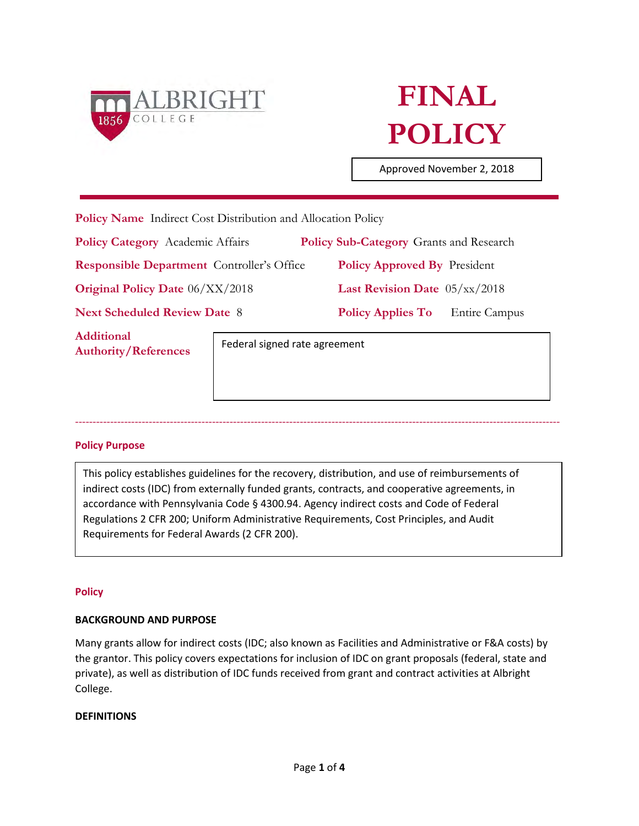

# **FINAL POLICY**

Approved November 2, 2018

|  | <b>Policy Name</b> Indirect Cost Distribution and Allocation Policy |  |  |  |
|--|---------------------------------------------------------------------|--|--|--|
|--|---------------------------------------------------------------------|--|--|--|

**Policy Category** Academic Affairs **Policy Sub-Category** Grants and Research

**Responsible Department** Controller's Office **Policy Approved By** President

**Original Policy Date** 06/XX/2018 **Last Revision Date** 05/xx/2018

**Additional Authority/References** 

**Next Scheduled Review Date** 8 **Policy Applies To** Entire Campus

Federal signed rate agreement

## **Policy Purpose**

This policy establishes guidelines for the recovery, distribution, and use of reimbursements of indirect costs (IDC) from externally funded grants, contracts, and cooperative agreements, in accordance with Pennsylvania Code § 4300.94. Agency indirect costs and Code of Federal Regulations 2 CFR 200; Uniform Administrative Requirements, Cost Principles, and Audit Requirements for Federal Awards (2 CFR 200).

------------------------------------------------------------------------------------------------------------------------------------------

#### **Policy**

#### **BACKGROUND AND PURPOSE**

Many grants allow for indirect costs (IDC; also known as Facilities and Administrative or F&A costs) by the grantor. This policy covers expectations for inclusion of IDC on grant proposals (federal, state and private), as well as distribution of IDC funds received from grant and contract activities at Albright College.

#### **DEFINITIONS**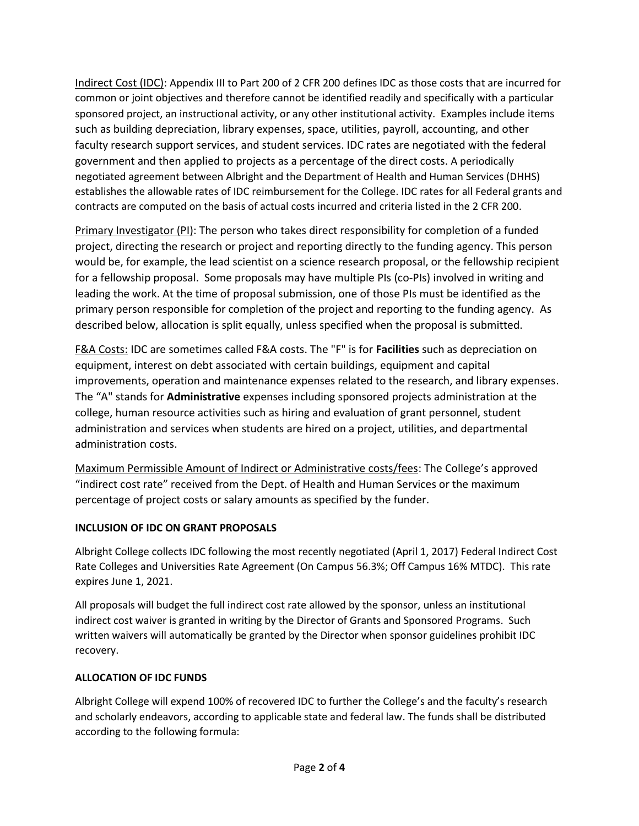Indirect Cost (IDC): Appendix III to Part 200 of 2 CFR 200 defines IDC as those costs that are incurred for common or joint objectives and therefore cannot be identified readily and specifically with a particular sponsored project, an instructional activity, or any other institutional activity. Examples include items such as building depreciation, library expenses, space, utilities, payroll, accounting, and other faculty research support services, and student services. IDC rates are negotiated with the federal government and then applied to projects as a percentage of the direct costs. A periodically negotiated agreement between Albright and the Department of Health and Human Services (DHHS) establishes the allowable rates of IDC reimbursement for the College. IDC rates for all Federal grants and contracts are computed on the basis of actual costs incurred and criteria listed in the 2 CFR 200.

Primary Investigator (PI): The person who takes direct responsibility for completion of a funded project, directing the research or project and reporting directly to the funding agency. This person would be, for example, the lead scientist on a science research proposal, or the fellowship recipient for a fellowship proposal. Some proposals may have multiple PIs (co-PIs) involved in writing and leading the work. At the time of proposal submission, one of those PIs must be identified as the primary person responsible for completion of the project and reporting to the funding agency. As described below, allocation is split equally, unless specified when the proposal is submitted.

F&A Costs: IDC are sometimes called F&A costs. The "F" is for **Facilities** such as depreciation on equipment, interest on debt associated with certain buildings, equipment and capital improvements, operation and maintenance expenses related to the research, and library expenses. The "A" stands for **Administrative** expenses including sponsored projects administration at the college, human resource activities such as hiring and evaluation of grant personnel, student administration and services when students are hired on a project, utilities, and departmental administration costs.

Maximum Permissible Amount of Indirect or Administrative costs/fees: The College's approved "indirect cost rate" received from the Dept. of Health and Human Services or the maximum percentage of project costs or salary amounts as specified by the funder.

## **INCLUSION OF IDC ON GRANT PROPOSALS**

Albright College collects IDC following the most recently negotiated (April 1, 2017) Federal Indirect Cost Rate Colleges and Universities Rate Agreement (On Campus 56.3%; Off Campus 16% MTDC). This rate expires June 1, 2021.

All proposals will budget the full indirect cost rate allowed by the sponsor, unless an institutional indirect cost waiver is granted in writing by the Director of Grants and Sponsored Programs. Such written waivers will automatically be granted by the Director when sponsor guidelines prohibit IDC recovery.

## **ALLOCATION OF IDC FUNDS**

Albright College will expend 100% of recovered IDC to further the College's and the faculty's research and scholarly endeavors, according to applicable state and federal law. The funds shall be distributed according to the following formula: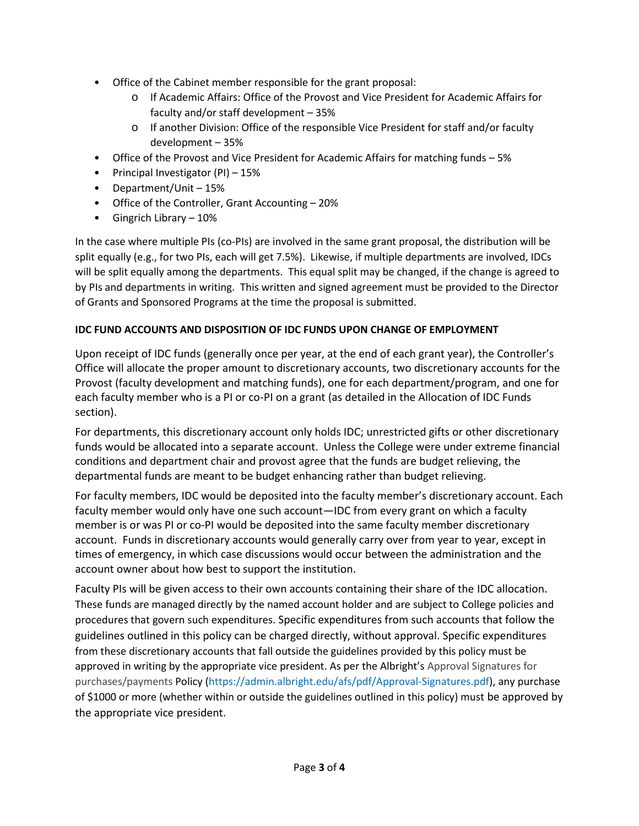- Office of the Cabinet member responsible for the grant proposal:
	- o If Academic Affairs: Office of the Provost and Vice President for Academic Affairs for faculty and/or staff development – 35%
	- o If another Division: Office of the responsible Vice President for staff and/or faculty development – 35%
- Office of the Provost and Vice President for Academic Affairs for matching funds 5%
- Principal Investigator (PI) 15%
- Department/Unit 15%
- Office of the Controller, Grant Accounting 20%
- Gingrich Library 10%

In the case where multiple PIs (co-PIs) are involved in the same grant proposal, the distribution will be split equally (e.g., for two PIs, each will get 7.5%). Likewise, if multiple departments are involved, IDCs will be split equally among the departments. This equal split may be changed, if the change is agreed to by PIs and departments in writing. This written and signed agreement must be provided to the Director of Grants and Sponsored Programs at the time the proposal is submitted.

# **IDC FUND ACCOUNTS AND DISPOSITION OF IDC FUNDS UPON CHANGE OF EMPLOYMENT**

Upon receipt of IDC funds (generally once per year, at the end of each grant year), the Controller's Office will allocate the proper amount to discretionary accounts, two discretionary accounts for the Provost (faculty development and matching funds), one for each department/program, and one for each faculty member who is a PI or co-PI on a grant (as detailed in the Allocation of IDC Funds section).

For departments, this discretionary account only holds IDC; unrestricted gifts or other discretionary funds would be allocated into a separate account. Unless the College were under extreme financial conditions and department chair and provost agree that the funds are budget relieving, the departmental funds are meant to be budget enhancing rather than budget relieving.

For faculty members, IDC would be deposited into the faculty member's discretionary account. Each faculty member would only have one such account—IDC from every grant on which a faculty member is or was PI or co-PI would be deposited into the same faculty member discretionary account. Funds in discretionary accounts would generally carry over from year to year, except in times of emergency, in which case discussions would occur between the administration and the account owner about how best to support the institution.

Faculty PIs will be given access to their own accounts containing their share of the IDC allocation. These funds are managed directly by the named account holder and are subject to College policies and procedures that govern such expenditures. Specific expenditures from such accounts that follow the guidelines outlined in this policy can be charged directly, without approval. Specific expenditures from these discretionary accounts that fall outside the guidelines provided by this policy must be approved in writing by the appropriate vice president. As per the Albright's [Approval Signatures for](https://admin.albright.edu/afs/pdf/Approval-Signatures.pdf)  [purchases/payments](https://admin.albright.edu/afs/pdf/Approval-Signatures.pdf) Policy [\(https://admin.albright.edu/afs/pdf/Approval-Signatures.pdf\)](https://admin.albright.edu/afs/pdf/Approval-Signatures.pdf), any purchase of \$1000 or more (whether within or outside the guidelines outlined in this policy) must be approved by the appropriate vice president.